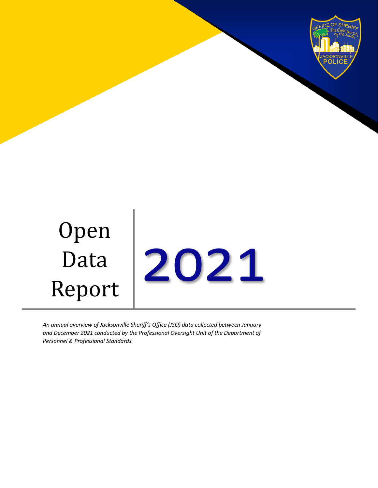



*An annual overview of Jacksonville Sheriff's Office (JSO) data collected between January and December 2021 conducted by the Professional Oversight Unit of the Department of Personnel & Professional Standards.*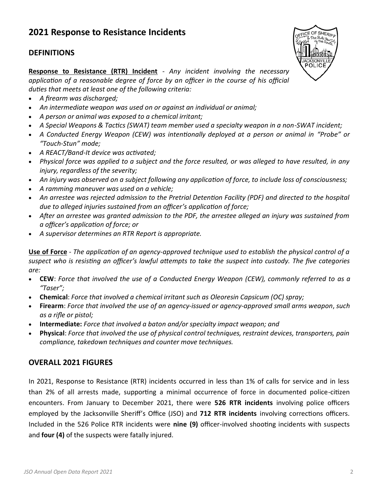# **2021 Response to Resistance Incidents**

#### **DEFINITIONS**



**Response to Resistance (RTR) Incident** - *Any incident involving the necessary application of a reasonable degree of force by an officer in the course of his official duties that meets at least one of the following criteria:* 

- *A firearm was discharged;*
- *An intermediate weapon was used on or against an individual or animal;*
- *A person or animal was exposed to a chemical irritant;*
- *A Special Weapons & Tactics (SWAT) team member used a specialty weapon in a non-SWAT incident;*
- A Conducted Energy Weapon (CEW) was intentionally deployed at a person or animal in "Probe" or *"Touch-Stun" mode;*
- *A REACT/Band-It device was activated;*
- *Physical force was applied to a subject and the force resulted, or was alleged to have resulted, in any injury, regardless of the severity;*
- *An injury was observed on a subject following any application of force, to include loss of consciousness;*
- *A ramming maneuver was used on a vehicle;*
- *An arrestee was rejected admission to the Pretrial Detention Facility (PDF) and directed to the hospital due to alleged injuries sustained from an officer's application of force;*
- *After an arrestee was granted admission to the PDF, the arrestee alleged an injury was sustained from a officer's application of force; or*
- *A supervisor determines an RTR Report is appropriate.*

**Use of Force** - *The application of an agency-approved technique used to establish the physical control of a suspect who is resisting an officer's lawful attempts to take the suspect into custody. The five categories are:*

- **CEW**: *Force that involved the use of a Conducted Energy Weapon (CEW), commonly referred to as a "Taser";*
- **Chemical**: *Force that involved a chemical irritant such as Oleoresin Capsicum (OC) spray;*
- **Firearm**: *Force that involved the use of an agency-issued or agency-approved small arms weapon*, *such as a rifle or pistol;*
- **Intermediate:** *Force that involved a baton and/or specialty impact weapon; and*
- **Physical**: *Force that involved the use of physical control techniques, restraint devices, transporters, pain compliance, takedown techniques and counter move techniques.*

### **OVERALL 2021 FIGURES**

In 2021, Response to Resistance (RTR) incidents occurred in less than 1% of calls for service and in less than 2% of all arrests made, supporting a minimal occurrence of force in documented police-citizen encounters. From January to December 2021, there were **526 RTR incidents** involving police officers employed by the Jacksonville Sheriff's Office (JSO) and **712 RTR incidents** involving corrections officers. Included in the 526 Police RTR incidents were **nine (9)** officer-involved shooting incidents with suspects and **four (4)** of the suspects were fatally injured.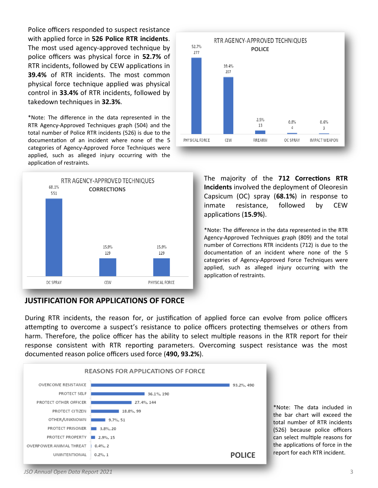Police officers responded to suspect resistance with applied force in **526 Police RTR incidents**. The most used agency-approved technique by police officers was physical force in **52.7%** of RTR incidents, followed by CEW applications in **39.4%** of RTR incidents. The most common physical force technique applied was physical control in **33.4%** of RTR incidents, followed by takedown techniques in **32.3%**.

\*Note: The difference in the data represented in the RTR Agency-Approved Techniques graph (504) and the total number of Police RTR incidents (526) is due to the documentation of an incident where none of the 5 categories of Agency-Approved Force Techniques were applied, such as alleged injury occurring with the application of restraints.



#### **JUSTIFICATION FOR APPLICATIONS OF FORCE**



The majority of the **712 Corrections RTR Incidents** involved the deployment of Oleoresin Capsicum (OC) spray (**68.1%**) in response to inmate resistance, followed by CEW applications (**15.9%**).

\*Note: The difference in the data represented in the RTR Agency-Approved Techniques graph (809) and the total number of Corrections RTR incidents (712) is due to the documentation of an incident where none of the 5 categories of Agency-Approved Force Techniques were applied, such as alleged injury occurring with the application of restraints.

During RTR incidents, the reason for, or justification of applied force can evolve from police officers attempting to overcome a suspect's resistance to police officers protecting themselves or others from harm. Therefore, the police officer has the ability to select multiple reasons in the RTR report for their response consistent with RTR reporting parameters. Overcoming suspect resistance was the most documented reason police officers used force (**490, 93.2%**).



\*Note: The data included in the bar chart will exceed the total number of RTR incidents (526) because police officers can select multiple reasons for the applications of force in the report for each RTR incident.

#### *JSO Annual Open Data Report 2021* 3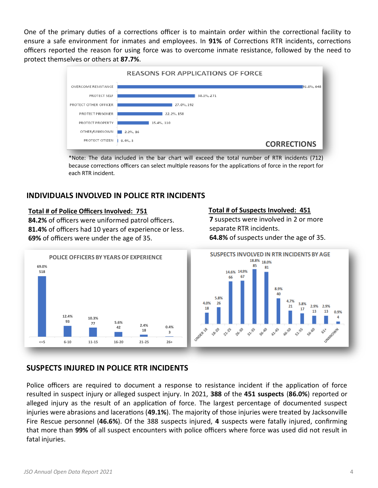One of the primary duties of a corrections officer is to maintain order within the correctional facility to ensure a safe environment for inmates and employees. In **91%** of Corrections RTR incidents, corrections officers reported the reason for using force was to overcome inmate resistance, followed by the need to protect themselves or others at **87.7%**.



\*Note: The data included in the bar chart will exceed the total number of RTR incidents (712) because corrections officers can select multiple reasons for the applications of force in the report for each RTR incident.

## **INDIVIDUALS INVOLVED IN POLICE RTR INCIDENTS**

#### **Total # of Police Officers Involved: 751**

**84.2%** of officers were uniformed patrol officers. **81.4%** of officers had 10 years of experience or less. **69%** of officers were under the age of 35.



#### **Total # of Suspects Involved: 451**

**7** suspects were involved in 2 or more separate RTR incidents. **64.8%** of suspects under the age of 35.



## **SUSPECTS INJURED IN POLICE RTR INCIDENTS**

Police officers are required to document a response to resistance incident if the application of force resulted in suspect injury or alleged suspect injury. In 2021, **388** of the **451 suspects** (**86.0%**) reported or alleged injury as the result of an application of force. The largest percentage of documented suspect injuries were abrasions and lacerations (**49.1%**). The majority of those injuries were treated by Jacksonville Fire Rescue personnel (**46.6%**). Of the 388 suspects injured, **4** suspects were fatally injured, confirming that more than **99%** of all suspect encounters with police officers where force was used did not result in fatal injuries.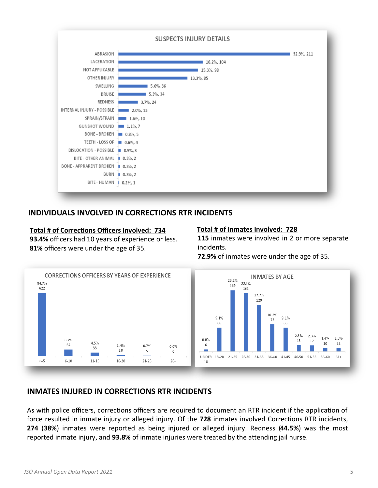

#### **INDIVIDUALS INVOLVED IN CORRECTIONS RTR INCIDENTS**

#### **Total # of Corrections Officers Involved: 734 93.4%** officers had 10 years of experience or less. **81%** officers were under the age of 35.

#### **Total # of Inmates Involved: 728**

**115** inmates were involved in 2 or more separate incidents.

**72.9%** of inmates were under the age of 35.



### **INMATES INJURED IN CORRECTIONS RTR INCIDENTS**

As with police officers, corrections officers are required to document an RTR incident if the application of force resulted in inmate injury or alleged injury. Of the **728** inmates involved Corrections RTR incidents, **274** (**38%**) inmates were reported as being injured or alleged injury. Redness (**44.5%**) was the most reported inmate injury, and **93.8%** of inmate injuries were treated by the attending jail nurse.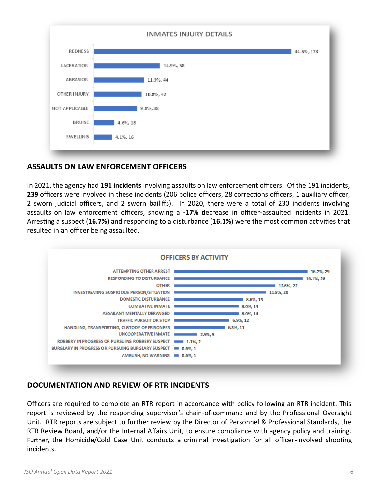

## **ASSAULTS ON LAW ENFORCEMENT OFFICERS**

In 2021, the agency had **191 incidents** involving assaults on law enforcement officers. Of the 191 incidents, **239** officers were involved in these incidents (206 police officers, 28 corrections officers, 1 auxiliary officer, 2 sworn judicial officers, and 2 sworn bailiffs). In 2020, there were a total of 230 incidents involving assaults on law enforcement officers, showing a **-17% d**ecrease in officer-assaulted incidents in 2021. Arresting a suspect (**16.7%**) and responding to a disturbance (**16.1%**) were the most common activities that resulted in an officer being assaulted.



## **DOCUMENTATION AND REVIEW OF RTR INCIDENTS**

Officers are required to complete an RTR report in accordance with policy following an RTR incident. This report is reviewed by the responding supervisor's chain-of-command and by the Professional Oversight Unit. RTR reports are subject to further review by the Director of Personnel & Professional Standards, the RTR Review Board, and/or the Internal Affairs Unit, to ensure compliance with agency policy and training. Further, the Homicide/Cold Case Unit conducts a criminal investigation for all officer-involved shooting incidents.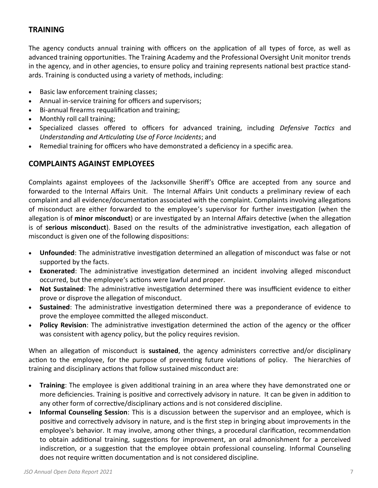## **TRAINING**

The agency conducts annual training with officers on the application of all types of force, as well as advanced training opportunities. The Training Academy and the Professional Oversight Unit monitor trends in the agency, and in other agencies, to ensure policy and training represents national best practice standards. Training is conducted using a variety of methods, including:

- Basic law enforcement training classes;
- Annual in-service training for officers and supervisors;
- Bi-annual firearms requalification and training;
- Monthly roll call training;
- Specialized classes offered to officers for advanced training, including *Defensive Tactics* and *Understanding and Articulating Use of Force Incidents*; and
- Remedial training for officers who have demonstrated a deficiency in a specific area.

## **COMPLAINTS AGAINST EMPLOYEES**

Complaints against employees of the Jacksonville Sheriff's Office are accepted from any source and forwarded to the Internal Affairs Unit. The Internal Affairs Unit conducts a preliminary review of each complaint and all evidence/documentation associated with the complaint. Complaints involving allegations of misconduct are either forwarded to the employee's supervisor for further investigation (when the allegation is of **minor misconduct**) or are investigated by an Internal Affairs detective (when the allegation is of **serious misconduct**). Based on the results of the administrative investigation, each allegation of misconduct is given one of the following dispositions:

- **Unfounded**: The administrative investigation determined an allegation of misconduct was false or not supported by the facts.
- **Exonerated**: The administrative investigation determined an incident involving alleged misconduct occurred, but the employee's actions were lawful and proper.
- **Not Sustained**: The administrative investigation determined there was insufficient evidence to either prove or disprove the allegation of misconduct.
- **Sustained**: The administrative investigation determined there was a preponderance of evidence to prove the employee committed the alleged misconduct.
- **Policy Revision**: The administrative investigation determined the action of the agency or the officer was consistent with agency policy, but the policy requires revision.

When an allegation of misconduct is **sustained**, the agency administers corrective and/or disciplinary action to the employee, for the purpose of preventing future violations of policy. The hierarchies of training and disciplinary actions that follow sustained misconduct are:

- **Training**: The employee is given additional training in an area where they have demonstrated one or more deficiencies. Training is positive and correctively advisory in nature. It can be given in addition to any other form of corrective/disciplinary actions and is not considered discipline.
- **Informal Counseling Session**: This is a discussion between the supervisor and an employee, which is positive and correctively advisory in nature, and is the first step in bringing about improvements in the employee's behavior. It may involve, among other things, a procedural clarification, recommendation to obtain additional training, suggestions for improvement, an oral admonishment for a perceived indiscretion, or a suggestion that the employee obtain professional counseling. Informal Counseling does not require written documentation and is not considered discipline.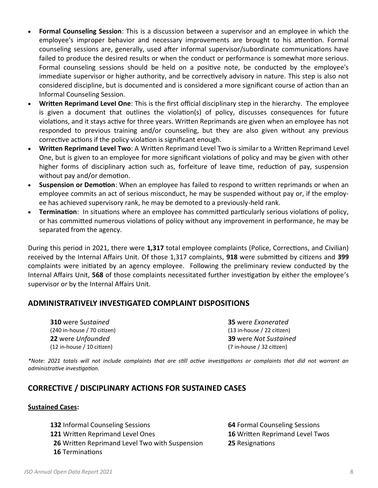- **Formal Counseling Session**: This is a discussion between a supervisor and an employee in which the employee's improper behavior and necessary improvements are brought to his attention. Formal counseling sessions are, generally, used after informal supervisor/subordinate communications have failed to produce the desired results or when the conduct or performance is somewhat more serious. Formal counseling sessions should be held on a positive note, be conducted by the employee's immediate supervisor or higher authority, and be correctively advisory in nature. This step is also not considered discipline, but is documented and is considered a more significant course of action than an Informal Counseling Session.
- **Written Reprimand LeveI One**: This is the first official disciplinary step in the hierarchy. The employee is given a document that outlines the violation(s) of policy, discusses consequences for future violations, and it stays active for three years. Written Reprimands are given when an employee has not responded to previous training and/or counseling, but they are also given without any previous corrective actions if the policy violation is significant enough.
- **Written Reprimand Level Two**: A Written Reprimand Level Two is similar to a Written Reprimand Level One, but is given to an employee for more significant violations of policy and may be given with other higher forms of disciplinary action such as, forfeiture of leave time, reduction of pay, suspension without pay and/or demotion.
- **Suspension or Demotion**: When an employee has failed to respond to written reprimands or when an employee commits an act of serious misconduct, he may be suspended without pay or, if the employee has achieved supervisory rank, he may be demoted to a previously-held rank.
- **Termination**: In situations where an employee has committed particularly serious violations of policy, or has committed numerous violations of policy without any improvement in performance, he may be separated from the agency.

During this period in 2021, there were **1,317** total employee complaints (Police, Corrections, and Civilian) received by the Internal Affairs Unit. Of those 1,317 complaints, **918** were submitted by citizens and **399** complaints were initiated by an agency employee. Following the preliminary review conducted by the Internal Affairs Unit, **568** of those complaints necessitated further investigation by either the employee's supervisor or by the Internal Affairs Unit.

### **ADMINISTRATIVELY INVESTIGATED COMPLAINT DISPOSITIONS**

**310** were S*ustained* **35** were *Exonerated* (240 in-house / 70 citizen) (13 in-house / 22 citizen) (12 in-house / 10 citizen) (7 in-house / 32 citizen)

**22** were *Unfounded* **39** were *Not Sustained*

*\*Note: 2021 totals will not include complaints that are still active investigations or complaints that did not warrant an administrative investigation.*

### **CORRECTIVE / DISCIPLINARY ACTIONS FOR SUSTAINED CASES**

#### **Sustained Cases:**

 Informal Counseling Sessions **64** Formal Counseling Sessions Written Reprimand Level Ones **16** Written Reprimand Level Twos Written Reprimand Level Two with Suspension **25** Resignations Terminations